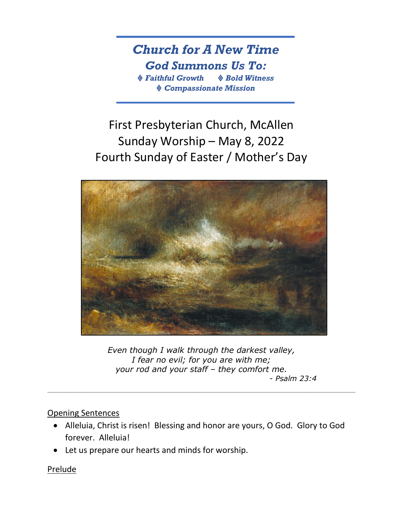# *Church for A New Time God Summons Us To:*

 *Faithful Growth Bold Witness Compassionate Mission*

First Presbyterian Church, McAllen Sunday Worship – May 8, 2022 Fourth Sunday of Easter / Mother's Day



*Even though I walk through the darkest valley, I fear no evil; for you are with me; your rod and your staff – they comfort me.* - *Psalm 23:4*

### Opening Sentences

- Alleluia, Christ is risen! Blessing and honor are yours, O God. Glory to God forever. Alleluia!
- Let us prepare our hearts and minds for worship.

# Prelude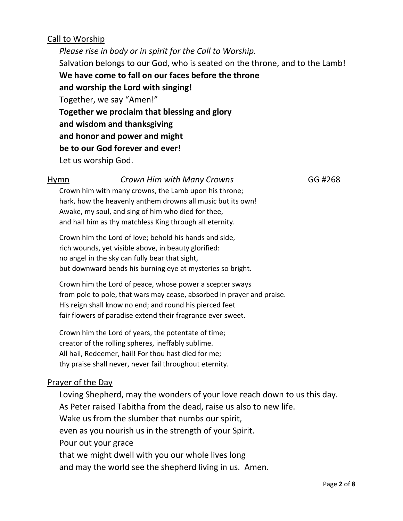## Call to Worship

*Please rise in body or in spirit for the Call to Worship.* Salvation belongs to our God, who is seated on the throne, and to the Lamb! **We have come to fall on our faces before the throne and worship the Lord with singing!** Together, we say "Amen!" **Together we proclaim that blessing and glory and wisdom and thanksgiving and honor and power and might be to our God forever and ever!** Let us worship God.

| Hymn | Crown Him with Many Crowns                                  | GG #268 |
|------|-------------------------------------------------------------|---------|
|      | Crown him with many crowns, the Lamb upon his throne;       |         |
|      | hark, how the heavenly anthem drowns all music but its own! |         |
|      | Awake, my soul, and sing of him who died for thee,          |         |
|      | and hail him as thy matchless King through all eternity.    |         |
|      | Crown him the Lord of love; behold his hands and side,      |         |
|      | rich wounds, yet visible above, in beauty glorified:        |         |

rich wounds, yet visible above, in beauty glorified: no angel in the sky can fully bear that sight, but downward bends his burning eye at mysteries so bright.

Crown him the Lord of peace, whose power a scepter sways from pole to pole, that wars may cease, absorbed in prayer and praise. His reign shall know no end; and round his pierced feet fair flowers of paradise extend their fragrance ever sweet.

Crown him the Lord of years, the potentate of time; creator of the rolling spheres, ineffably sublime. All hail, Redeemer, hail! For thou hast died for me; thy praise shall never, never fail throughout eternity.

# Prayer of the Day

Loving Shepherd, may the wonders of your love reach down to us this day. As Peter raised Tabitha from the dead, raise us also to new life. Wake us from the slumber that numbs our spirit, even as you nourish us in the strength of your Spirit. Pour out your grace that we might dwell with you our whole lives long and may the world see the shepherd living in us. Amen.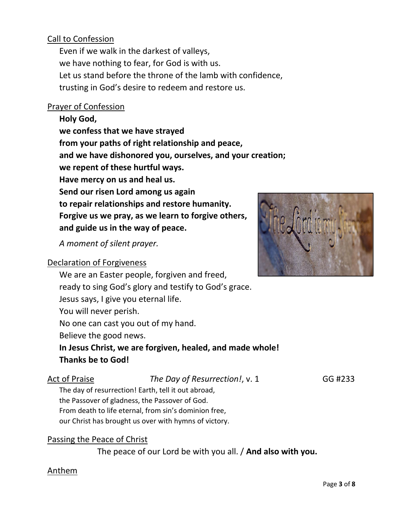# Call to Confession

Even if we walk in the darkest of valleys, we have nothing to fear, for God is with us. Let us stand before the throne of the lamb with confidence, trusting in God's desire to redeem and restore us.

### Prayer of Confession

**Holy God, we confess that we have strayed from your paths of right relationship and peace, and we have dishonored you, ourselves, and your creation; we repent of these hurtful ways. Have mercy on us and heal us. Send our risen Lord among us again to repair relationships and restore humanity. Forgive us we pray, as we learn to forgive others, and guide us in the way of peace.**



*A moment of silent prayer.*

### Declaration of Forgiveness

We are an Easter people, forgiven and freed, ready to sing God's glory and testify to God's grace. Jesus says, I give you eternal life. You will never perish. No one can cast you out of my hand. Believe the good news. **In Jesus Christ, we are forgiven, healed, and made whole! Thanks be to God!**

# Act of Praise *The Day of Resurrection!*, v. 1 GG #233

The day of resurrection! Earth, tell it out abroad, the Passover of gladness, the Passover of God. From death to life eternal, from sin's dominion free, our Christ has brought us over with hymns of victory.

# Passing the Peace of Christ

The peace of our Lord be with you all. / **And also with you.**

### Anthem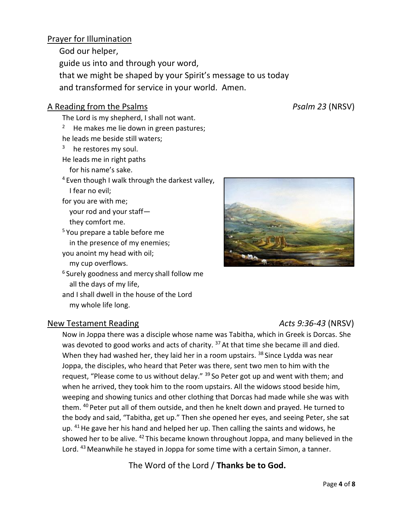# Prayer for Illumination

God our helper,

guide us into and through your word,

that we might be shaped by your Spirit's message to us today

and transformed for service in your world. Amen.

# A Reading from the Psalms *Psalm 23* (NRSV)

- The Lord is my shepherd, I shall not want.
- 2 He makes me lie down in green pastures;
- he leads me beside still waters;

<sup>3</sup> he restores my soul.

He leads me in right paths

for his name's sake.

 $4$  Even though I walk through the darkest valley,

I fear no evil;

for you are with me;

your rod and your staff—

they comfort me.

<sup>5</sup> You prepare a table before me

in the presence of my enemies;

you anoint my head with oil;

my cup overflows.

<sup>6</sup> Surely goodness and mercy shall follow me all the days of my life,

and I shall dwell in the house of the Lord my whole life long.

# New Testament Reading *Acts 9:36-43* (NRSV)

Now in Joppa there was a disciple whose name was Tabitha, which in Greek is Dorcas. She was devoted to good works and acts of charity.  $37$  At that time she became ill and died. When they had washed her, they laid her in a room upstairs. <sup>38</sup> Since Lydda was near Joppa, the disciples, who heard that Peter was there, sent two men to him with the request, "Please come to us without delay." <sup>39</sup> So Peter got up and went with them; and when he arrived, they took him to the room upstairs. All the widows stood beside him, weeping and showing tunics and other clothing that Dorcas had made while she was with them. <sup>40</sup> Peter put all of them outside, and then he knelt down and prayed. He turned to the body and said, "Tabitha, get up." Then she opened her eyes, and seeing Peter, she sat up.  $41$  He gave her his hand and helped her up. Then calling the saints and widows, he showed her to be alive. <sup>42</sup> This became known throughout Joppa, and many believed in the Lord. <sup>43</sup> Meanwhile he stayed in Joppa for some time with a certain Simon, a tanner.

The Word of the Lord / **Thanks be to God.**

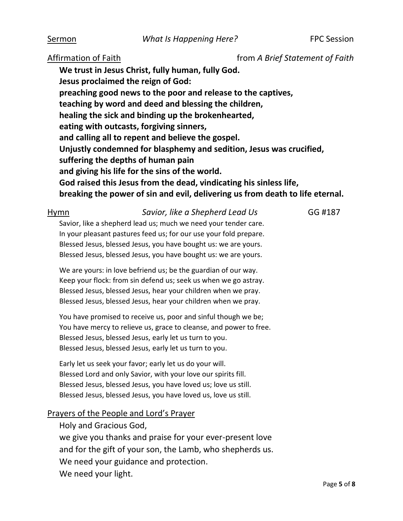Affirmation of Faith **From** *A Brief Statement of Faith* from *A Brief Statement of Faith* 

**We trust in Jesus Christ, fully human, fully God. Jesus proclaimed the reign of God: preaching good news to the poor and release to the captives, teaching by word and deed and blessing the children, healing the sick and binding up the brokenhearted, eating with outcasts, forgiving sinners, and calling all to repent and believe the gospel. Unjustly condemned for blasphemy and sedition, Jesus was crucified, suffering the depths of human pain and giving his life for the sins of the world. God raised this Jesus from the dead, vindicating his sinless life, breaking the power of sin and evil, delivering us from death to life eternal.** 

| Hymn | Savior, like a Shepherd Lead Us                                   | GG #187 |
|------|-------------------------------------------------------------------|---------|
|      | Savior, like a shepherd lead us; much we need your tender care.   |         |
|      | In your pleasant pastures feed us; for our use your fold prepare. |         |
|      | Blessed Jesus, blessed Jesus, you have bought us: we are yours.   |         |
|      | Blessed Jesus, blessed Jesus, you have bought us: we are yours.   |         |

We are yours: in love befriend us; be the guardian of our way. Keep your flock: from sin defend us; seek us when we go astray. Blessed Jesus, blessed Jesus, hear your children when we pray. Blessed Jesus, blessed Jesus, hear your children when we pray.

You have promised to receive us, poor and sinful though we be; You have mercy to relieve us, grace to cleanse, and power to free. Blessed Jesus, blessed Jesus, early let us turn to you. Blessed Jesus, blessed Jesus, early let us turn to you.

Early let us seek your favor; early let us do your will. Blessed Lord and only Savior, with your love our spirits fill. Blessed Jesus, blessed Jesus, you have loved us; love us still. Blessed Jesus, blessed Jesus, you have loved us, love us still.

### Prayers of the People and Lord's Prayer

Holy and Gracious God,

we give you thanks and praise for your ever-present love and for the gift of your son, the Lamb, who shepherds us. We need your guidance and protection. We need your light.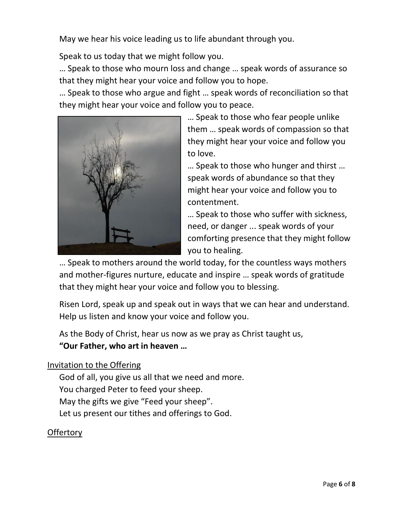May we hear his voice leading us to life abundant through you.

Speak to us today that we might follow you.

… Speak to those who mourn loss and change … speak words of assurance so that they might hear your voice and follow you to hope.

… Speak to those who argue and fight … speak words of reconciliation so that they might hear your voice and follow you to peace.



… Speak to those who fear people unlike them … speak words of compassion so that they might hear your voice and follow you to love.

… Speak to those who hunger and thirst … speak words of abundance so that they might hear your voice and follow you to contentment.

… Speak to those who suffer with sickness, need, or danger ... speak words of your comforting presence that they might follow you to healing.

… Speak to mothers around the world today, for the countless ways mothers and mother-figures nurture, educate and inspire … speak words of gratitude that they might hear your voice and follow you to blessing.

Risen Lord, speak up and speak out in ways that we can hear and understand. Help us listen and know your voice and follow you.

As the Body of Christ, hear us now as we pray as Christ taught us,

# **"Our Father, who art in heaven …**

# Invitation to the Offering

God of all, you give us all that we need and more. You charged Peter to feed your sheep. May the gifts we give "Feed your sheep". Let us present our tithes and offerings to God.

### **Offertory**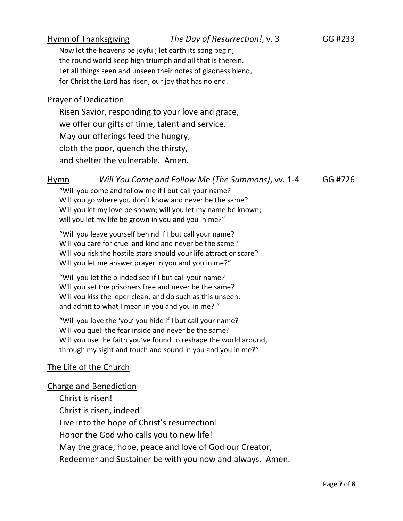### Hymn of Thanksgiving *The Day of Resurrection!*, v. 3 GG #233

Now let the heavens be joyful; let earth its song begin; the round world keep high triumph and all that is therein. Let all things seen and unseen their notes of gladness blend, for Christ the Lord has risen, our joy that has no end.

### Prayer of Dedication

Risen Savior, responding to your love and grace, we offer our gifts of time, talent and service. May our offerings feed the hungry, cloth the poor, quench the thirsty, and shelter the vulnerable. Amen.

### Hymn *Will You Come and Follow Me (The Summons)*, vv. 1-4 GG #726

"Will you come and follow me if I but call your name? Will you go where you don't know and never be the same? Will you let my love be shown; will you let my name be known; will you let my life be grown in you and you in me?"

"Will you leave yourself behind if I but call your name? Will you care for cruel and kind and never be the same? Will you risk the hostile stare should your life attract or scare? Will you let me answer prayer in you and you in me?"

"Will you let the blinded see if I but call your name? Will you set the prisoners free and never be the same? Will you kiss the leper clean, and do such as this unseen, and admit to what I mean in you and you in me? "

"Will you love the 'you' you hide if I but call your name? Will you quell the fear inside and never be the same? Will you use the faith you've found to reshape the world around, through my sight and touch and sound in you and you in me?"

### The Life of the Church

### Charge and Benediction

Christ is risen! Christ is risen, indeed! Live into the hope of Christ's resurrection! Honor the God who calls you to new life! May the grace, hope, peace and love of God our Creator, Redeemer and Sustainer be with you now and always. Amen.